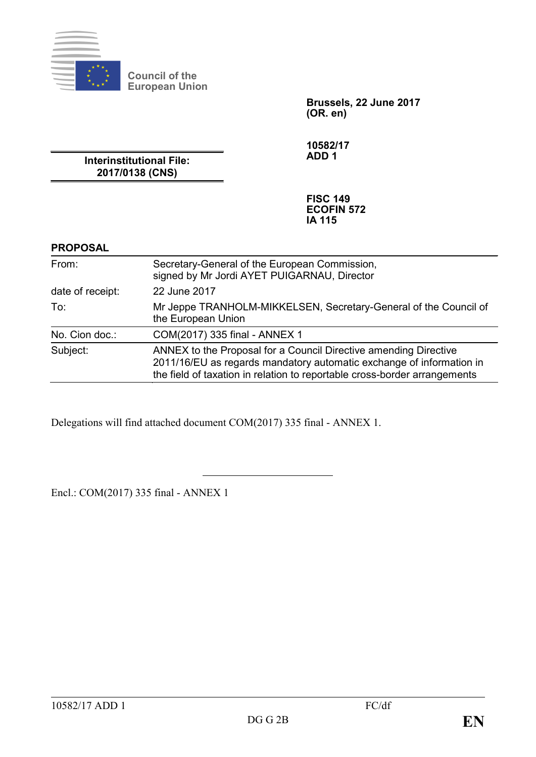

**Council of the European Union**

> **Brussels, 22 June 2017 (OR. en)**

**10582/17 ADD 1**

**Interinstitutional File: 2017/0138 (CNS)**

> **FISC 149 ECOFIN 572 IA 115**

## **PROPOSAL**

| From:            | Secretary-General of the European Commission,<br>signed by Mr Jordi AYET PUIGARNAU, Director                                                                                                                          |
|------------------|-----------------------------------------------------------------------------------------------------------------------------------------------------------------------------------------------------------------------|
| date of receipt: | 22 June 2017                                                                                                                                                                                                          |
| To:              | Mr Jeppe TRANHOLM-MIKKELSEN, Secretary-General of the Council of<br>the European Union                                                                                                                                |
| No. Cion doc.:   | COM(2017) 335 final - ANNEX 1                                                                                                                                                                                         |
| Subject:         | ANNEX to the Proposal for a Council Directive amending Directive<br>2011/16/EU as regards mandatory automatic exchange of information in<br>the field of taxation in relation to reportable cross-border arrangements |

Delegations will find attached document COM(2017) 335 final - ANNEX 1.

Encl.: COM(2017) 335 final - ANNEX 1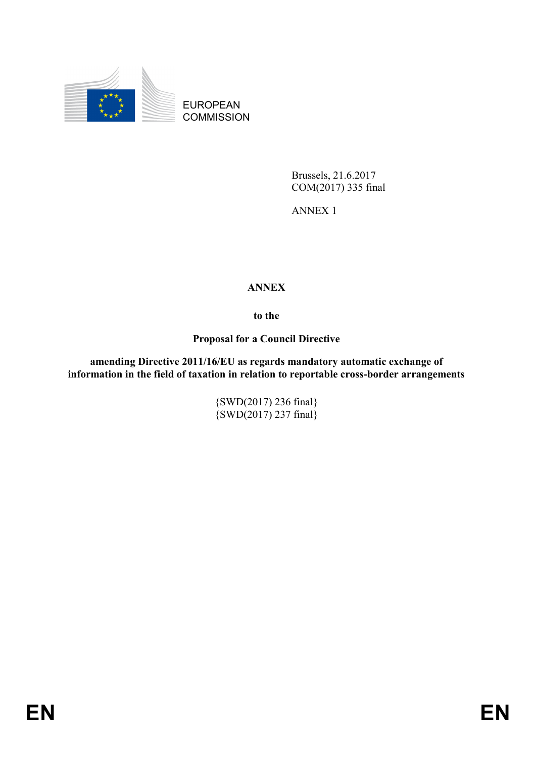

EUROPEAN **COMMISSION** 

> Brussels, 21.6.2017 COM(2017) 335 final

ANNEX 1

# **ANNEX**

**to the**

**Proposal for a Council Directive**

**amending Directive 2011/16/EU as regards mandatory automatic exchange of information in the field of taxation in relation to reportable cross-border arrangements**

> {SWD(2017) 236 final}  $\{SWD(2017)$  237 final $\}$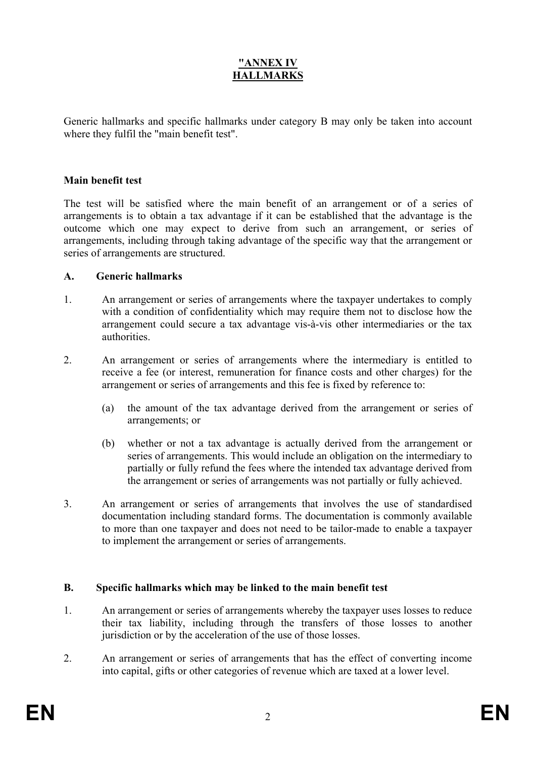# **"ANNEX IV HALLMARKS**

Generic hallmarks and specific hallmarks under category B may only be taken into account where they fulfil the "main benefit test".

#### **Main benefit test**

The test will be satisfied where the main benefit of an arrangement or of a series of arrangements is to obtain a tax advantage if it can be established that the advantage is the outcome which one may expect to derive from such an arrangement, or series of arrangements, including through taking advantage of the specific way that the arrangement or series of arrangements are structured.

#### **A. Generic hallmarks**

- 1. An arrangement or series of arrangements where the taxpayer undertakes to comply with a condition of confidentiality which may require them not to disclose how the arrangement could secure a tax advantage vis-à-vis other intermediaries or the tax authorities.
- 2. An arrangement or series of arrangements where the intermediary is entitled to receive a fee (or interest, remuneration for finance costs and other charges) for the arrangement or series of arrangements and this fee is fixed by reference to:
	- (a) the amount of the tax advantage derived from the arrangement or series of arrangements; or
	- (b) whether or not a tax advantage is actually derived from the arrangement or series of arrangements. This would include an obligation on the intermediary to partially or fully refund the fees where the intended tax advantage derived from the arrangement or series of arrangements was not partially or fully achieved.
- 3. An arrangement or series of arrangements that involves the use of standardised documentation including standard forms. The documentation is commonly available to more than one taxpayer and does not need to be tailor-made to enable a taxpayer to implement the arrangement or series of arrangements.

## **B. Specific hallmarks which may be linked to the main benefit test**

- 1. An arrangement or series of arrangements whereby the taxpayer uses losses to reduce their tax liability, including through the transfers of those losses to another jurisdiction or by the acceleration of the use of those losses.
- 2. An arrangement or series of arrangements that has the effect of converting income into capital, gifts or other categories of revenue which are taxed at a lower level.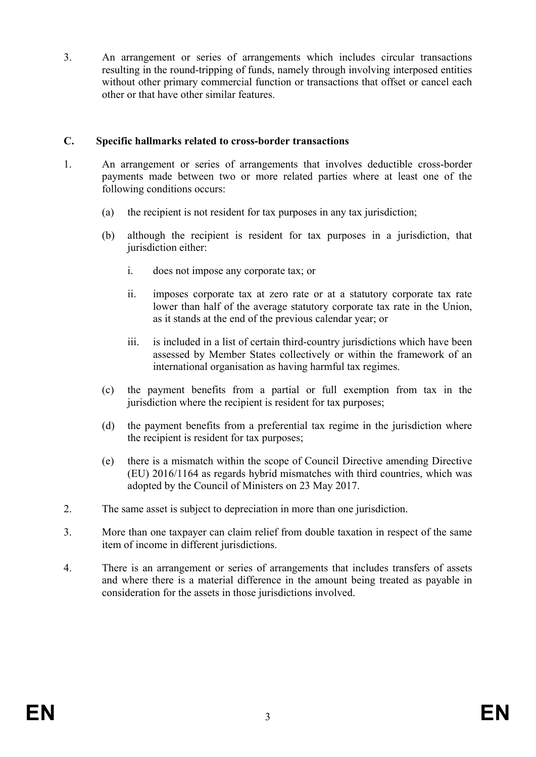3. An arrangement or series of arrangements which includes circular transactions resulting in the round-tripping of funds, namely through involving interposed entities without other primary commercial function or transactions that offset or cancel each other or that have other similar features.

# **C. Specific hallmarks related to cross-border transactions**

- 1. An arrangement or series of arrangements that involves deductible cross-border payments made between two or more related parties where at least one of the following conditions occurs:
	- (a) the recipient is not resident for tax purposes in any tax jurisdiction;
	- (b) although the recipient is resident for tax purposes in a jurisdiction, that jurisdiction either:
		- i. does not impose any corporate tax; or
		- ii. imposes corporate tax at zero rate or at a statutory corporate tax rate lower than half of the average statutory corporate tax rate in the Union, as it stands at the end of the previous calendar year; or
		- iii. is included in a list of certain third-country jurisdictions which have been assessed by Member States collectively or within the framework of an international organisation as having harmful tax regimes.
	- (c) the payment benefits from a partial or full exemption from tax in the jurisdiction where the recipient is resident for tax purposes;
	- (d) the payment benefits from a preferential tax regime in the jurisdiction where the recipient is resident for tax purposes;
	- (e) there is a mismatch within the scope of Council Directive amending Directive (EU) 2016/1164 as regards hybrid mismatches with third countries, which was adopted by the Council of Ministers on 23 May 2017.
- 2. The same asset is subject to depreciation in more than one jurisdiction.
- 3. More than one taxpayer can claim relief from double taxation in respect of the same item of income in different jurisdictions.
- 4. There is an arrangement or series of arrangements that includes transfers of assets and where there is a material difference in the amount being treated as payable in consideration for the assets in those jurisdictions involved.